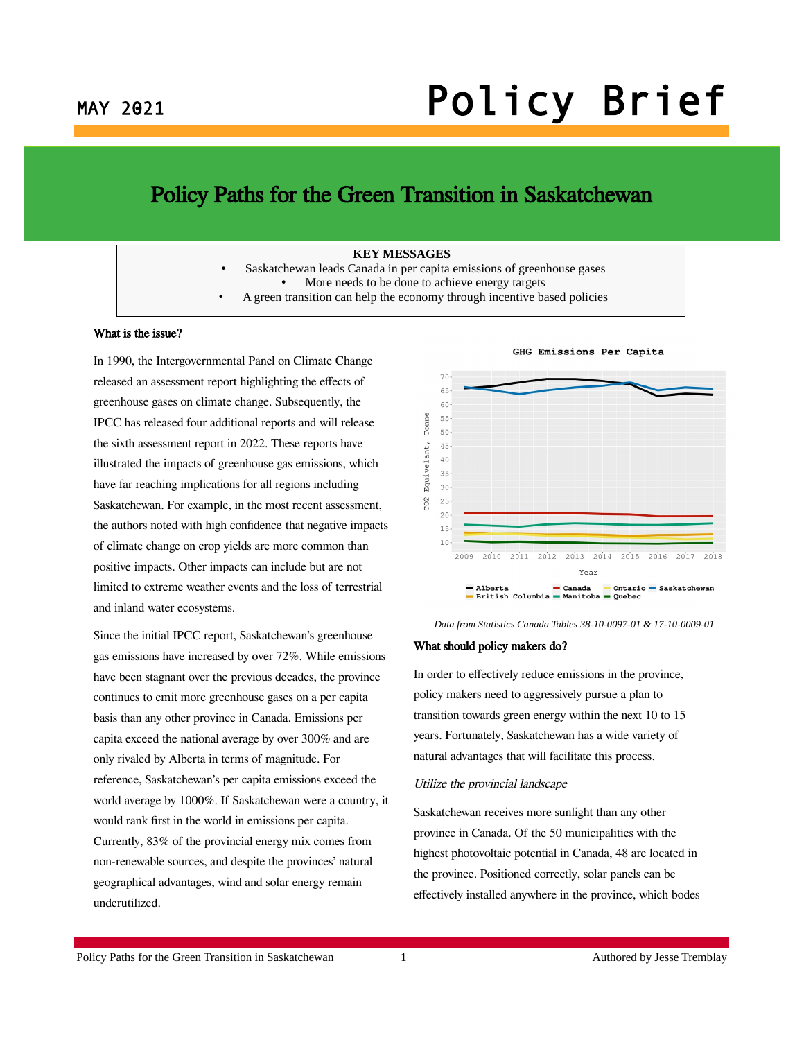# MAY 2021 **Policy Brief**

### Policy Paths for the Green Transition in Saskatchewan

#### **KEY MESSAGES**

- Saskatchewan leads Canada in per capita emissions of greenhouse gases • More needs to be done to achieve energy targets
- A green transition can help the economy through incentive based policies

#### What is the issue?

In 1990, the Intergovernmental Panel on Climate Change released an assessment report highlighting the effects of greenhouse gases on climate change. Subsequently, the IPCC has released four additional reports and will release the sixth assessment report in 2022. These reports have illustrated the impacts of greenhouse gas emissions, which have far reaching implications for all regions including Saskatchewan. For example, in the most recent assessment, the authors noted with high confidence that negative impacts of climate change on crop yields are more common than positive impacts. Other impacts can include but are not limited to extreme weather events and the loss of terrestrial and inland water ecosystems.

Since the initial IPCC report, Saskatchewan's greenhouse gas emissions have increased by over 72%. While emissions have been stagnant over the previous decades, the province continues to emit more greenhouse gases on a per capita basis than any other province in Canada. Emissions per capita exceed the national average by over 300% and are only rivaled by Alberta in terms of magnitude. For reference, Saskatchewan's per capita emissions exceed the world average by 1000%. If Saskatchewan were a country, it would rank first in the world in emissions per capita. Currently, 83% of the provincial energy mix comes from non-renewable sources, and despite the provinces' natural geographical advantages, wind and solar energy remain underutilized.



#### GHG Emissions Per Capita

*Data from Statistics Canada Tables 38-10-0097-01 & 17-10-0009-01*

#### What should policy makers do?

In order to effectively reduce emissions in the province, policy makers need to aggressively pursue a plan to transition towards green energy within the next 10 to 15 years. Fortunately, Saskatchewan has a wide variety of natural advantages that will facilitate this process.

#### Utilize the provincial landscape

Saskatchewan receives more sunlight than any other province in Canada. Of the 50 municipalities with the highest photovoltaic potential in Canada, 48 are located in the province. Positioned correctly, solar panels can be effectively installed anywhere in the province, which bodes